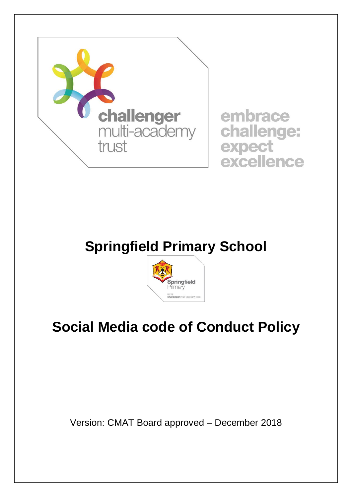

# **Springfield Primary School**



# **Social Media code of Conduct Policy**

Version: CMAT Board approved – December 2018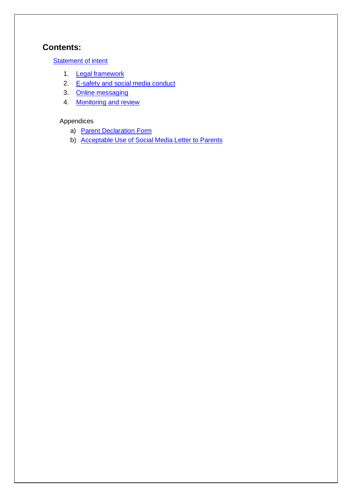## **Contents:**

**[Statement of intent](#page-2-0)** 

- 1. **[Legal framework](#page-3-0)**
- 2. E-safety and social media conduct
- 3. [Online messaging](#page-3-2)
- 4. [Monitoring and review](#page-4-0)

### Appendices

- a) **[Parent Declaration Form](#page-5-0)**
- b) [Acceptable Use of Social Media Letter to Parents](#page-6-0)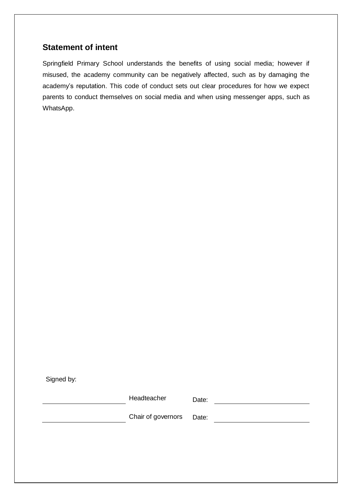## <span id="page-2-0"></span>**Statement of intent**

Springfield Primary School understands the benefits of using social media; however if misused, the academy community can be negatively affected, such as by damaging the academy's reputation. This code of conduct sets out clear procedures for how we expect parents to conduct themselves on social media and when using messenger apps, such as WhatsApp.

Signed by:

Headteacher Date: Chair of governors Date: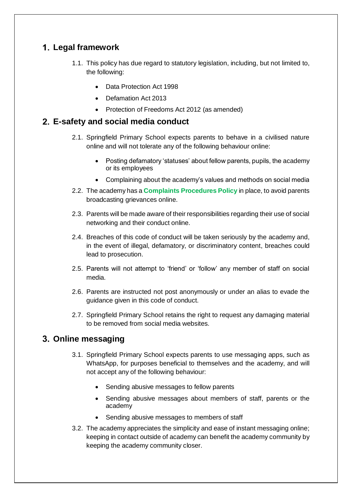# <span id="page-3-0"></span>**Legal framework**

- 1.1. This policy has due regard to statutory legislation, including, but not limited to, the following:
	- Data Protection Act 1998
	- Defamation Act 2013
	- Protection of Freedoms Act 2012 (as amended)

### <span id="page-3-1"></span>**E-safety and social media conduct**

- 2.1. Springfield Primary School expects parents to behave in a civilised nature online and will not tolerate any of the following behaviour online:
	- Posting defamatory 'statuses' about fellow parents, pupils, the academy or its employees
	- Complaining about the academy's values and methods on social media
- 2.2. The academy has a **Complaints Procedures Policy** in place, to avoid parents broadcasting grievances online.
- 2.3. Parents will be made aware of their responsibilities regarding their use of social networking and their conduct online.
- 2.4. Breaches of this code of conduct will be taken seriously by the academy and, in the event of illegal, defamatory, or discriminatory content, breaches could lead to prosecution.
- 2.5. Parents will not attempt to 'friend' or 'follow' any member of staff on social media.
- 2.6. Parents are instructed not post anonymously or under an alias to evade the guidance given in this code of conduct.
- 2.7. Springfield Primary School retains the right to request any damaging material to be removed from social media websites.

## <span id="page-3-2"></span>**Online messaging**

- 3.1. Springfield Primary School expects parents to use messaging apps, such as WhatsApp, for purposes beneficial to themselves and the academy, and will not accept any of the following behaviour:
	- Sending abusive messages to fellow parents
	- Sending abusive messages about members of staff, parents or the academy
	- Sending abusive messages to members of staff
- 3.2. The academy appreciates the simplicity and ease of instant messaging online; keeping in contact outside of academy can benefit the academy community by keeping the academy community closer.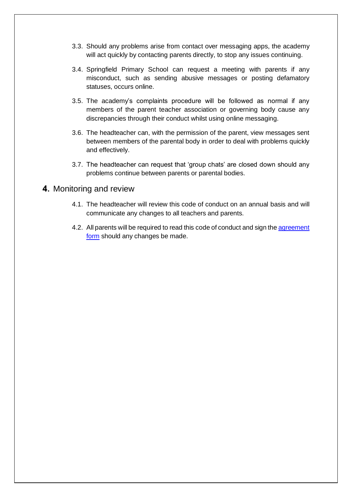- 3.3. Should any problems arise from contact over messaging apps, the academy will act quickly by contacting parents directly, to stop any issues continuing.
- 3.4. Springfield Primary School can request a meeting with parents if any misconduct, such as sending abusive messages or posting defamatory statuses, occurs online.
- 3.5. The academy's complaints procedure will be followed as normal if any members of the parent teacher association or governing body cause any discrepancies through their conduct whilst using online messaging.
- 3.6. The headteacher can, with the permission of the parent, view messages sent between members of the parental body in order to deal with problems quickly and effectively.
- 3.7. The headteacher can request that 'group chats' are closed down should any problems continue between parents or parental bodies.

### <span id="page-4-0"></span>4. Monitoring and review

- 4.1. The headteacher will review this code of conduct on an annual basis and will communicate any changes to all teachers and parents.
- 4.2. All parents will be required to read this code of conduct and sign the agreement form should any changes be made.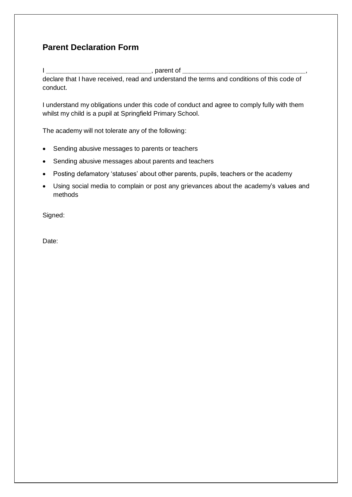# <span id="page-5-0"></span>**Parent Declaration Form**

I **\_\_\_\_\_\_\_\_\_\_\_\_\_\_\_\_\_\_\_\_\_\_\_\_\_\_\_\_\_**, parent of **\_\_\_\_\_\_\_\_\_\_\_\_\_\_\_\_\_\_\_\_\_\_\_\_\_\_\_\_\_\_\_\_\_\_**,

declare that I have received, read and understand the terms and conditions of this code of conduct.

I understand my obligations under this code of conduct and agree to comply fully with them whilst my child is a pupil at Springfield Primary School.

The academy will not tolerate any of the following:

- Sending abusive messages to parents or teachers
- Sending abusive messages about parents and teachers
- Posting defamatory 'statuses' about other parents, pupils, teachers or the academy
- Using social media to complain or post any grievances about the academy's values and methods

Signed:

Date: